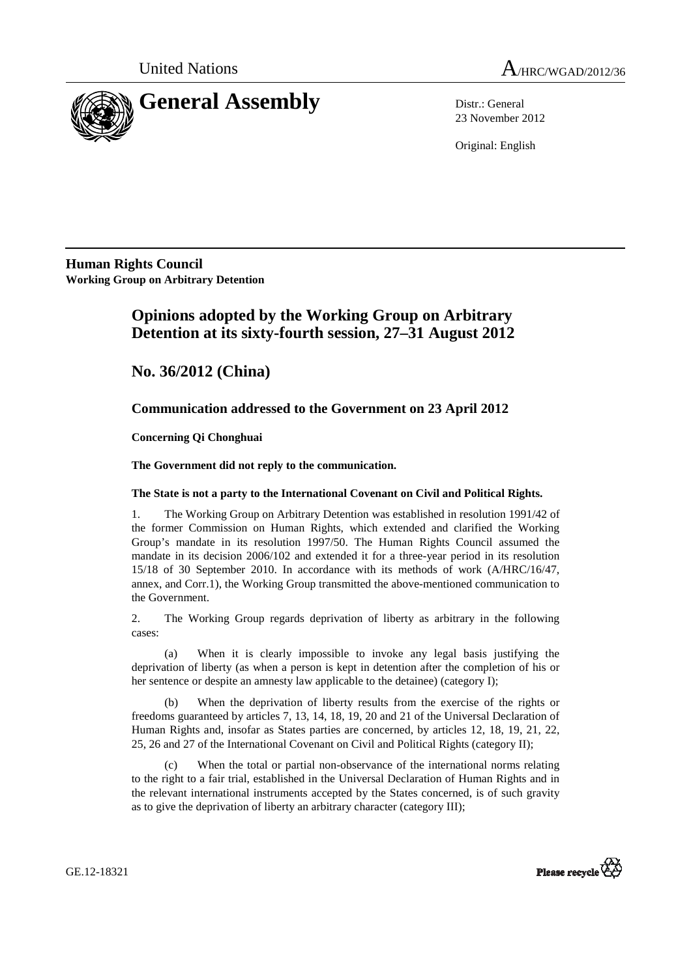



23 November 2012

Original: English

**Human Rights Council Working Group on Arbitrary Detention** 

# **Opinions adopted by the Working Group on Arbitrary Detention at its sixty-fourth session, 27–31 August 2012**

 **No. 36/2012 (China)** 

## **Communication addressed to the Government on 23 April 2012**

 **Concerning Qi Chonghuai** 

 **The Government did not reply to the communication.** 

### **The State is not a party to the International Covenant on Civil and Political Rights.**

1. The Working Group on Arbitrary Detention was established in resolution 1991/42 of the former Commission on Human Rights, which extended and clarified the Working Group's mandate in its resolution 1997/50. The Human Rights Council assumed the mandate in its decision 2006/102 and extended it for a three-year period in its resolution 15/18 of 30 September 2010. In accordance with its methods of work (A/HRC/16/47, annex, and Corr.1), the Working Group transmitted the above-mentioned communication to the Government.

2. The Working Group regards deprivation of liberty as arbitrary in the following cases:

(a) When it is clearly impossible to invoke any legal basis justifying the deprivation of liberty (as when a person is kept in detention after the completion of his or her sentence or despite an amnesty law applicable to the detainee) (category I);

When the deprivation of liberty results from the exercise of the rights or freedoms guaranteed by articles 7, 13, 14, 18, 19, 20 and 21 of the Universal Declaration of Human Rights and, insofar as States parties are concerned, by articles 12, 18, 19, 21, 22, 25, 26 and 27 of the International Covenant on Civil and Political Rights (category II);

(c) When the total or partial non-observance of the international norms relating to the right to a fair trial, established in the Universal Declaration of Human Rights and in the relevant international instruments accepted by the States concerned, is of such gravity as to give the deprivation of liberty an arbitrary character (category III);



GE.12-18321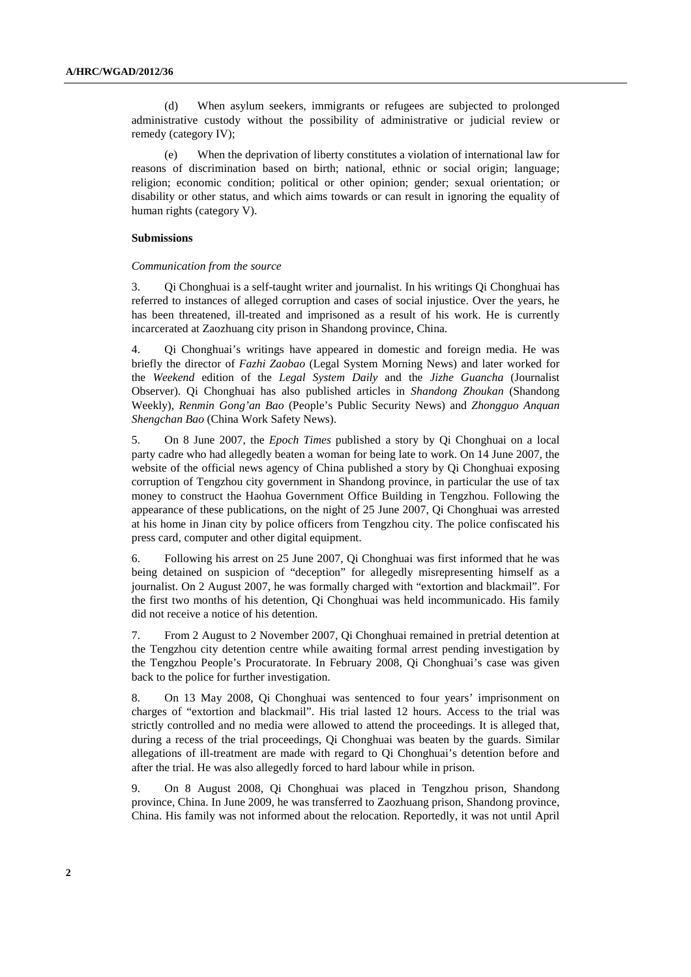(d) When asylum seekers, immigrants or refugees are subjected to prolonged administrative custody without the possibility of administrative or judicial review or remedy (category IV);

(e) When the deprivation of liberty constitutes a violation of international law for reasons of discrimination based on birth; national, ethnic or social origin; language; religion; economic condition; political or other opinion; gender; sexual orientation; or disability or other status, and which aims towards or can result in ignoring the equality of human rights (category V).

#### **Submissions**

#### *Communication from the source*

3. Qi Chonghuai is a self-taught writer and journalist. In his writings Qi Chonghuai has referred to instances of alleged corruption and cases of social injustice. Over the years, he has been threatened, ill-treated and imprisoned as a result of his work. He is currently incarcerated at Zaozhuang city prison in Shandong province, China.

4. Qi Chonghuai's writings have appeared in domestic and foreign media. He was briefly the director of *Fazhi Zaobao* (Legal System Morning News) and later worked for the *Weekend* edition of the *Legal System Daily* and the *Jizhe Guancha* (Journalist Observer). Qi Chonghuai has also published articles in *Shandong Zhoukan* (Shandong Weekly), *Renmin Gong'an Bao* (People's Public Security News) and *Zhongguo Anquan Shengchan Bao* (China Work Safety News).

5. On 8 June 2007, the *Epoch Times* published a story by Qi Chonghuai on a local party cadre who had allegedly beaten a woman for being late to work. On 14 June 2007, the website of the official news agency of China published a story by Qi Chonghuai exposing corruption of Tengzhou city government in Shandong province, in particular the use of tax money to construct the Haohua Government Office Building in Tengzhou. Following the appearance of these publications, on the night of 25 June 2007, Qi Chonghuai was arrested at his home in Jinan city by police officers from Tengzhou city. The police confiscated his press card, computer and other digital equipment.

6. Following his arrest on 25 June 2007, Qi Chonghuai was first informed that he was being detained on suspicion of "deception" for allegedly misrepresenting himself as a journalist. On 2 August 2007, he was formally charged with "extortion and blackmail". For the first two months of his detention, Qi Chonghuai was held incommunicado. His family did not receive a notice of his detention.

7. From 2 August to 2 November 2007, Qi Chonghuai remained in pretrial detention at the Tengzhou city detention centre while awaiting formal arrest pending investigation by the Tengzhou People's Procuratorate. In February 2008, Qi Chonghuai's case was given back to the police for further investigation.

8. On 13 May 2008, Qi Chonghuai was sentenced to four years' imprisonment on charges of "extortion and blackmail". His trial lasted 12 hours. Access to the trial was strictly controlled and no media were allowed to attend the proceedings. It is alleged that, during a recess of the trial proceedings, Qi Chonghuai was beaten by the guards. Similar allegations of ill-treatment are made with regard to Qi Chonghuai's detention before and after the trial. He was also allegedly forced to hard labour while in prison.

9. On 8 August 2008, Qi Chonghuai was placed in Tengzhou prison, Shandong province, China. In June 2009, he was transferred to Zaozhuang prison, Shandong province, China. His family was not informed about the relocation. Reportedly, it was not until April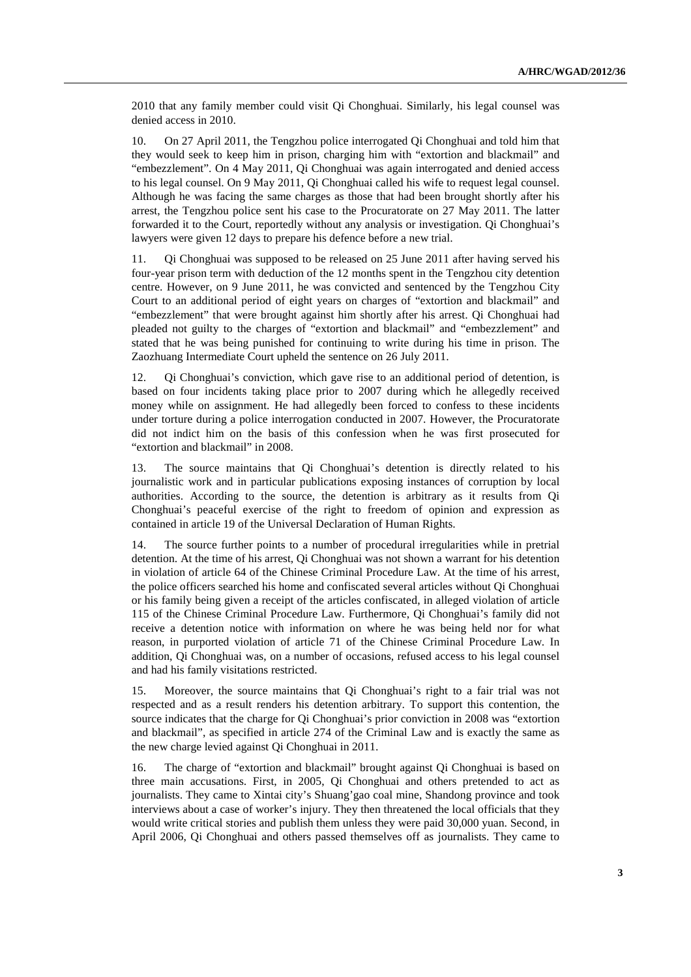2010 that any family member could visit Qi Chonghuai. Similarly, his legal counsel was denied access in 2010.

10. On 27 April 2011, the Tengzhou police interrogated Qi Chonghuai and told him that they would seek to keep him in prison, charging him with "extortion and blackmail" and "embezzlement". On 4 May 2011, Qi Chonghuai was again interrogated and denied access to his legal counsel. On 9 May 2011, Qi Chonghuai called his wife to request legal counsel. Although he was facing the same charges as those that had been brought shortly after his arrest, the Tengzhou police sent his case to the Procuratorate on 27 May 2011. The latter forwarded it to the Court, reportedly without any analysis or investigation. Qi Chonghuai's lawyers were given 12 days to prepare his defence before a new trial.

11. Qi Chonghuai was supposed to be released on 25 June 2011 after having served his four-year prison term with deduction of the 12 months spent in the Tengzhou city detention centre. However, on 9 June 2011, he was convicted and sentenced by the Tengzhou City Court to an additional period of eight years on charges of "extortion and blackmail" and "embezzlement" that were brought against him shortly after his arrest. Qi Chonghuai had pleaded not guilty to the charges of "extortion and blackmail" and "embezzlement" and stated that he was being punished for continuing to write during his time in prison. The Zaozhuang Intermediate Court upheld the sentence on 26 July 2011.

12. Qi Chonghuai's conviction, which gave rise to an additional period of detention, is based on four incidents taking place prior to 2007 during which he allegedly received money while on assignment. He had allegedly been forced to confess to these incidents under torture during a police interrogation conducted in 2007. However, the Procuratorate did not indict him on the basis of this confession when he was first prosecuted for "extortion and blackmail" in 2008.

13. The source maintains that Qi Chonghuai's detention is directly related to his journalistic work and in particular publications exposing instances of corruption by local authorities. According to the source, the detention is arbitrary as it results from Qi Chonghuai's peaceful exercise of the right to freedom of opinion and expression as contained in article 19 of the Universal Declaration of Human Rights.

14. The source further points to a number of procedural irregularities while in pretrial detention. At the time of his arrest, Qi Chonghuai was not shown a warrant for his detention in violation of article 64 of the Chinese Criminal Procedure Law. At the time of his arrest, the police officers searched his home and confiscated several articles without Qi Chonghuai or his family being given a receipt of the articles confiscated, in alleged violation of article 115 of the Chinese Criminal Procedure Law. Furthermore, Qi Chonghuai's family did not receive a detention notice with information on where he was being held nor for what reason, in purported violation of article 71 of the Chinese Criminal Procedure Law. In addition, Qi Chonghuai was, on a number of occasions, refused access to his legal counsel and had his family visitations restricted.

15. Moreover, the source maintains that Qi Chonghuai's right to a fair trial was not respected and as a result renders his detention arbitrary. To support this contention, the source indicates that the charge for Qi Chonghuai's prior conviction in 2008 was "extortion and blackmail", as specified in article 274 of the Criminal Law and is exactly the same as the new charge levied against Qi Chonghuai in 2011.

16. The charge of "extortion and blackmail" brought against Qi Chonghuai is based on three main accusations. First, in 2005, Qi Chonghuai and others pretended to act as journalists. They came to Xintai city's Shuang'gao coal mine, Shandong province and took interviews about a case of worker's injury. They then threatened the local officials that they would write critical stories and publish them unless they were paid 30,000 yuan. Second, in April 2006, Qi Chonghuai and others passed themselves off as journalists. They came to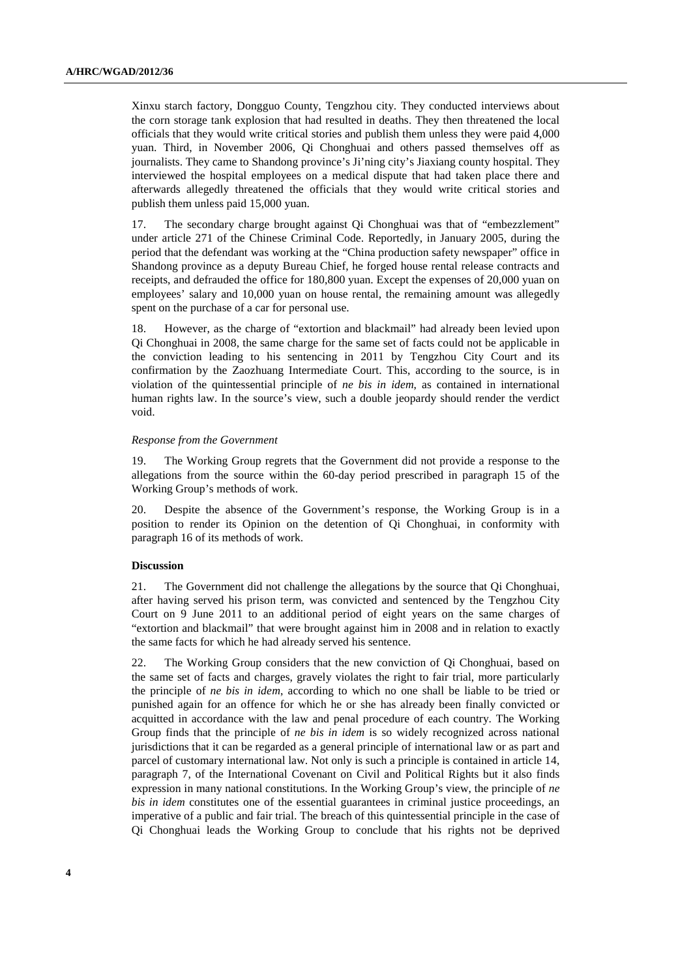Xinxu starch factory, Dongguo County, Tengzhou city. They conducted interviews about the corn storage tank explosion that had resulted in deaths. They then threatened the local officials that they would write critical stories and publish them unless they were paid 4,000 yuan. Third, in November 2006, Qi Chonghuai and others passed themselves off as journalists. They came to Shandong province's Ji'ning city's Jiaxiang county hospital. They interviewed the hospital employees on a medical dispute that had taken place there and afterwards allegedly threatened the officials that they would write critical stories and publish them unless paid 15,000 yuan.

17. The secondary charge brought against Qi Chonghuai was that of "embezzlement" under article 271 of the Chinese Criminal Code. Reportedly, in January 2005, during the period that the defendant was working at the "China production safety newspaper" office in Shandong province as a deputy Bureau Chief, he forged house rental release contracts and receipts, and defrauded the office for 180,800 yuan. Except the expenses of 20,000 yuan on employees' salary and 10,000 yuan on house rental, the remaining amount was allegedly spent on the purchase of a car for personal use.

18. However, as the charge of "extortion and blackmail" had already been levied upon Qi Chonghuai in 2008, the same charge for the same set of facts could not be applicable in the conviction leading to his sentencing in 2011 by Tengzhou City Court and its confirmation by the Zaozhuang Intermediate Court. This, according to the source, is in violation of the quintessential principle of *ne bis in idem*, as contained in international human rights law. In the source's view, such a double jeopardy should render the verdict void.

#### *Response from the Government*

19. The Working Group regrets that the Government did not provide a response to the allegations from the source within the 60-day period prescribed in paragraph 15 of the Working Group's methods of work.

20. Despite the absence of the Government's response, the Working Group is in a position to render its Opinion on the detention of Qi Chonghuai, in conformity with paragraph 16 of its methods of work.

#### **Discussion**

21. The Government did not challenge the allegations by the source that Qi Chonghuai, after having served his prison term, was convicted and sentenced by the Tengzhou City Court on 9 June 2011 to an additional period of eight years on the same charges of "extortion and blackmail" that were brought against him in 2008 and in relation to exactly the same facts for which he had already served his sentence.

22. The Working Group considers that the new conviction of Qi Chonghuai, based on the same set of facts and charges, gravely violates the right to fair trial, more particularly the principle of *ne bis in idem*, according to which no one shall be liable to be tried or punished again for an offence for which he or she has already been finally convicted or acquitted in accordance with the law and penal procedure of each country. The Working Group finds that the principle of *ne bis in idem* is so widely recognized across national jurisdictions that it can be regarded as a general principle of international law or as part and parcel of customary international law. Not only is such a principle is contained in article 14, paragraph 7, of the International Covenant on Civil and Political Rights but it also finds expression in many national constitutions. In the Working Group's view, the principle of *ne bis in idem* constitutes one of the essential guarantees in criminal justice proceedings, an imperative of a public and fair trial. The breach of this quintessential principle in the case of Qi Chonghuai leads the Working Group to conclude that his rights not be deprived